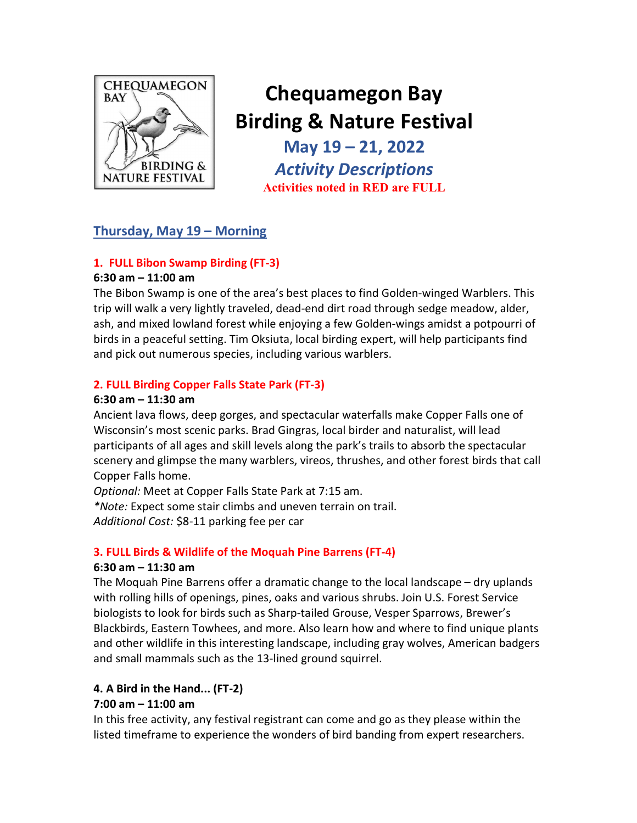

# Chequamegon Bay Birding & Nature Festival

May 19 – 21, 2022 Activity Descriptions Activities noted in RED are FULL

## Thursday, May 19 – Morning

## 1. FULL Bibon Swamp Birding (FT-3)

#### 6:30 am – 11:00 am

The Bibon Swamp is one of the area's best places to find Golden-winged Warblers. This trip will walk a very lightly traveled, dead-end dirt road through sedge meadow, alder, ash, and mixed lowland forest while enjoying a few Golden-wings amidst a potpourri of birds in a peaceful setting. Tim Oksiuta, local birding expert, will help participants find and pick out numerous species, including various warblers.

## 2. FULL Birding Copper Falls State Park (FT-3)

#### 6:30 am – 11:30 am

Ancient lava flows, deep gorges, and spectacular waterfalls make Copper Falls one of Wisconsin's most scenic parks. Brad Gingras, local birder and naturalist, will lead participants of all ages and skill levels along the park's trails to absorb the spectacular scenery and glimpse the many warblers, vireos, thrushes, and other forest birds that call Copper Falls home.

Optional: Meet at Copper Falls State Park at 7:15 am.

\*Note: Expect some stair climbs and uneven terrain on trail.

Additional Cost: \$8-11 parking fee per car

#### 3. FULL Birds & Wildlife of the Moquah Pine Barrens (FT-4)

#### 6:30 am – 11:30 am

The Moquah Pine Barrens offer a dramatic change to the local landscape – dry uplands with rolling hills of openings, pines, oaks and various shrubs. Join U.S. Forest Service biologists to look for birds such as Sharp-tailed Grouse, Vesper Sparrows, Brewer's Blackbirds, Eastern Towhees, and more. Also learn how and where to find unique plants and other wildlife in this interesting landscape, including gray wolves, American badgers and small mammals such as the 13-lined ground squirrel.

## 4. A Bird in the Hand... (FT-2)

#### 7:00 am – 11:00 am

In this free activity, any festival registrant can come and go as they please within the listed timeframe to experience the wonders of bird banding from expert researchers.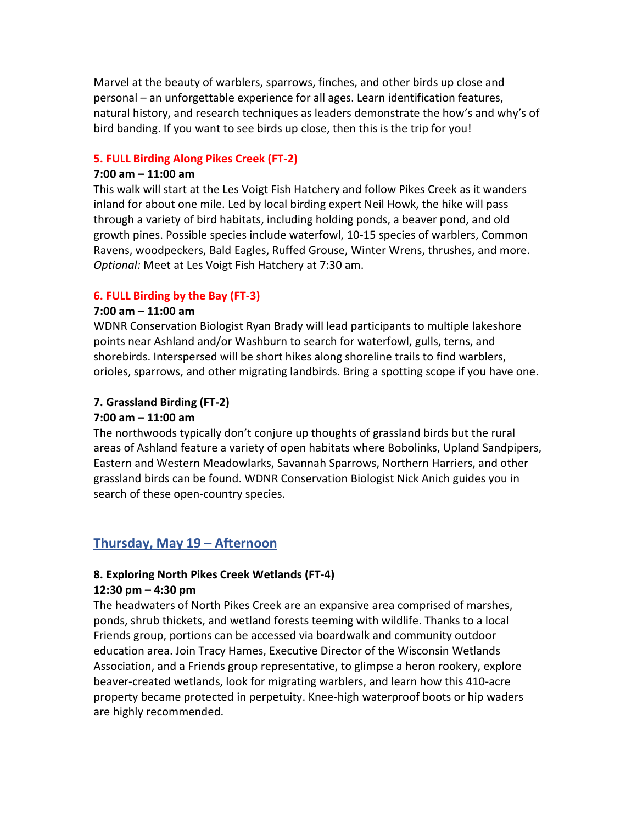Marvel at the beauty of warblers, sparrows, finches, and other birds up close and personal – an unforgettable experience for all ages. Learn identification features, natural history, and research techniques as leaders demonstrate the how's and why's of bird banding. If you want to see birds up close, then this is the trip for you!

#### 5. FULL Birding Along Pikes Creek (FT-2)

#### 7:00 am – 11:00 am

This walk will start at the Les Voigt Fish Hatchery and follow Pikes Creek as it wanders inland for about one mile. Led by local birding expert Neil Howk, the hike will pass through a variety of bird habitats, including holding ponds, a beaver pond, and old growth pines. Possible species include waterfowl, 10-15 species of warblers, Common Ravens, woodpeckers, Bald Eagles, Ruffed Grouse, Winter Wrens, thrushes, and more. Optional: Meet at Les Voigt Fish Hatchery at 7:30 am.

#### 6. FULL Birding by the Bay (FT-3)

#### 7:00 am – 11:00 am

WDNR Conservation Biologist Ryan Brady will lead participants to multiple lakeshore points near Ashland and/or Washburn to search for waterfowl, gulls, terns, and shorebirds. Interspersed will be short hikes along shoreline trails to find warblers, orioles, sparrows, and other migrating landbirds. Bring a spotting scope if you have one.

#### 7. Grassland Birding (FT-2)

#### 7:00 am – 11:00 am

The northwoods typically don't conjure up thoughts of grassland birds but the rural areas of Ashland feature a variety of open habitats where Bobolinks, Upland Sandpipers, Eastern and Western Meadowlarks, Savannah Sparrows, Northern Harriers, and other grassland birds can be found. WDNR Conservation Biologist Nick Anich guides you in search of these open-country species.

## Thursday, May 19 – Afternoon

## 8. Exploring North Pikes Creek Wetlands (FT-4)

#### 12:30 pm – 4:30 pm

The headwaters of North Pikes Creek are an expansive area comprised of marshes, ponds, shrub thickets, and wetland forests teeming with wildlife. Thanks to a local Friends group, portions can be accessed via boardwalk and community outdoor education area. Join Tracy Hames, Executive Director of the Wisconsin Wetlands Association, and a Friends group representative, to glimpse a heron rookery, explore beaver-created wetlands, look for migrating warblers, and learn how this 410-acre property became protected in perpetuity. Knee-high waterproof boots or hip waders are highly recommended.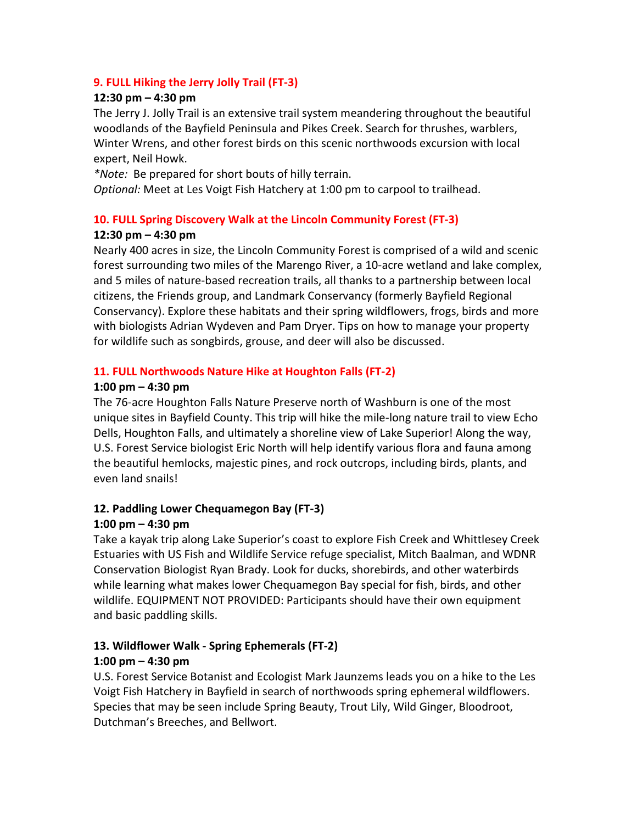#### 9. FULL Hiking the Jerry Jolly Trail (FT-3)

#### 12:30 pm – 4:30 pm

The Jerry J. Jolly Trail is an extensive trail system meandering throughout the beautiful woodlands of the Bayfield Peninsula and Pikes Creek. Search for thrushes, warblers, Winter Wrens, and other forest birds on this scenic northwoods excursion with local expert, Neil Howk.

\*Note: Be prepared for short bouts of hilly terrain.

Optional: Meet at Les Voigt Fish Hatchery at 1:00 pm to carpool to trailhead.

#### 10. FULL Spring Discovery Walk at the Lincoln Community Forest (FT-3)

#### 12:30 pm – 4:30 pm

Nearly 400 acres in size, the Lincoln Community Forest is comprised of a wild and scenic forest surrounding two miles of the Marengo River, a 10-acre wetland and lake complex, and 5 miles of nature-based recreation trails, all thanks to a partnership between local citizens, the Friends group, and Landmark Conservancy (formerly Bayfield Regional Conservancy). Explore these habitats and their spring wildflowers, frogs, birds and more with biologists Adrian Wydeven and Pam Dryer. Tips on how to manage your property for wildlife such as songbirds, grouse, and deer will also be discussed.

#### 11. FULL Northwoods Nature Hike at Houghton Falls (FT-2)

#### 1:00 pm – 4:30 pm

The 76-acre Houghton Falls Nature Preserve north of Washburn is one of the most unique sites in Bayfield County. This trip will hike the mile-long nature trail to view Echo Dells, Houghton Falls, and ultimately a shoreline view of Lake Superior! Along the way, U.S. Forest Service biologist Eric North will help identify various flora and fauna among the beautiful hemlocks, majestic pines, and rock outcrops, including birds, plants, and even land snails!

## 12. Paddling Lower Chequamegon Bay (FT-3)

#### 1:00 pm – 4:30 pm

Take a kayak trip along Lake Superior's coast to explore Fish Creek and Whittlesey Creek Estuaries with US Fish and Wildlife Service refuge specialist, Mitch Baalman, and WDNR Conservation Biologist Ryan Brady. Look for ducks, shorebirds, and other waterbirds while learning what makes lower Chequamegon Bay special for fish, birds, and other wildlife. EQUIPMENT NOT PROVIDED: Participants should have their own equipment and basic paddling skills.

## 13. Wildflower Walk - Spring Ephemerals (FT-2) 1:00 pm – 4:30 pm

U.S. Forest Service Botanist and Ecologist Mark Jaunzems leads you on a hike to the Les Voigt Fish Hatchery in Bayfield in search of northwoods spring ephemeral wildflowers. Species that may be seen include Spring Beauty, Trout Lily, Wild Ginger, Bloodroot, Dutchman's Breeches, and Bellwort.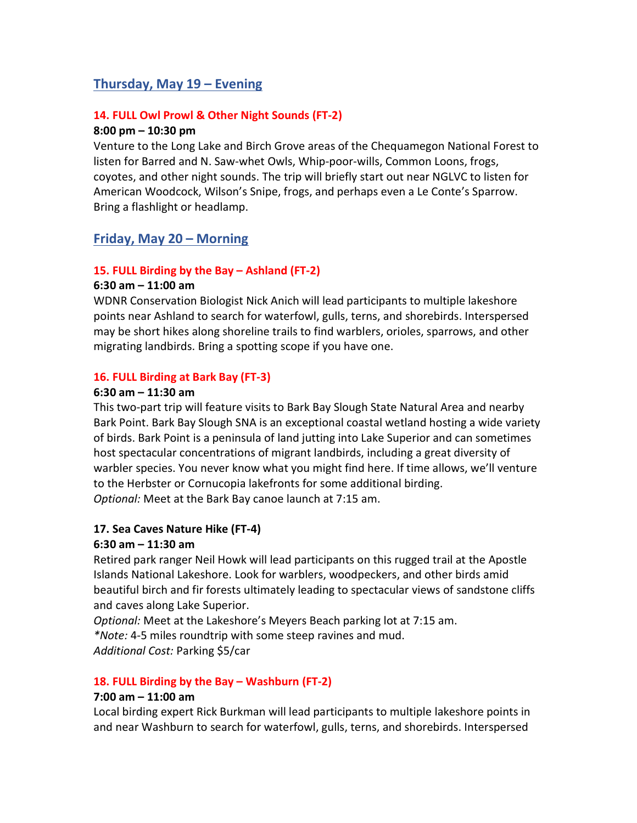## Thursday, May 19 – Evening

#### 14. FULL Owl Prowl & Other Night Sounds (FT-2)

#### 8:00 pm – 10:30 pm

Venture to the Long Lake and Birch Grove areas of the Chequamegon National Forest to listen for Barred and N. Saw-whet Owls, Whip-poor-wills, Common Loons, frogs, coyotes, and other night sounds. The trip will briefly start out near NGLVC to listen for American Woodcock, Wilson's Snipe, frogs, and perhaps even a Le Conte's Sparrow. Bring a flashlight or headlamp.

## Friday, May 20 – Morning

#### 15. FULL Birding by the Bay – Ashland (FT-2)

#### 6:30 am – 11:00 am

WDNR Conservation Biologist Nick Anich will lead participants to multiple lakeshore points near Ashland to search for waterfowl, gulls, terns, and shorebirds. Interspersed may be short hikes along shoreline trails to find warblers, orioles, sparrows, and other migrating landbirds. Bring a spotting scope if you have one.

#### 16. FULL Birding at Bark Bay (FT-3)

#### 6:30 am – 11:30 am

This two-part trip will feature visits to Bark Bay Slough State Natural Area and nearby Bark Point. Bark Bay Slough SNA is an exceptional coastal wetland hosting a wide variety of birds. Bark Point is a peninsula of land jutting into Lake Superior and can sometimes host spectacular concentrations of migrant landbirds, including a great diversity of warbler species. You never know what you might find here. If time allows, we'll venture to the Herbster or Cornucopia lakefronts for some additional birding. Optional: Meet at the Bark Bay canoe launch at 7:15 am.

#### 17. Sea Caves Nature Hike (FT-4)

#### 6:30 am – 11:30 am

Retired park ranger Neil Howk will lead participants on this rugged trail at the Apostle Islands National Lakeshore. Look for warblers, woodpeckers, and other birds amid beautiful birch and fir forests ultimately leading to spectacular views of sandstone cliffs and caves along Lake Superior.

Optional: Meet at the Lakeshore's Meyers Beach parking lot at 7:15 am.

\*Note: 4-5 miles roundtrip with some steep ravines and mud. Additional Cost: Parking \$5/car

#### 18. FULL Birding by the Bay – Washburn (FT-2)

#### 7:00 am – 11:00 am

Local birding expert Rick Burkman will lead participants to multiple lakeshore points in and near Washburn to search for waterfowl, gulls, terns, and shorebirds. Interspersed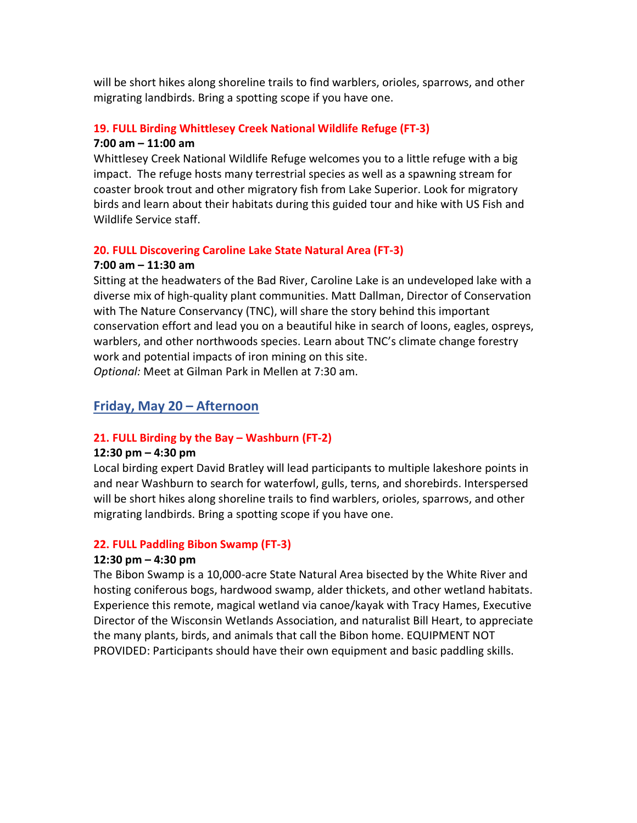will be short hikes along shoreline trails to find warblers, orioles, sparrows, and other migrating landbirds. Bring a spotting scope if you have one.

#### 19. FULL Birding Whittlesey Creek National Wildlife Refuge (FT-3) 7:00 am – 11:00 am

Whittlesey Creek National Wildlife Refuge welcomes you to a little refuge with a big impact. The refuge hosts many terrestrial species as well as a spawning stream for coaster brook trout and other migratory fish from Lake Superior. Look for migratory birds and learn about their habitats during this guided tour and hike with US Fish and Wildlife Service staff.

#### 20. FULL Discovering Caroline Lake State Natural Area (FT-3)

#### 7:00 am – 11:30 am

Sitting at the headwaters of the Bad River, Caroline Lake is an undeveloped lake with a diverse mix of high-quality plant communities. Matt Dallman, Director of Conservation with The Nature Conservancy (TNC), will share the story behind this important conservation effort and lead you on a beautiful hike in search of loons, eagles, ospreys, warblers, and other northwoods species. Learn about TNC's climate change forestry work and potential impacts of iron mining on this site. Optional: Meet at Gilman Park in Mellen at 7:30 am.

## Friday, May 20 – Afternoon

#### 21. FULL Birding by the Bay – Washburn (FT-2)

#### 12:30 pm – 4:30 pm

Local birding expert David Bratley will lead participants to multiple lakeshore points in and near Washburn to search for waterfowl, gulls, terns, and shorebirds. Interspersed will be short hikes along shoreline trails to find warblers, orioles, sparrows, and other migrating landbirds. Bring a spotting scope if you have one.

#### 22. FULL Paddling Bibon Swamp (FT-3)

#### 12:30 pm – 4:30 pm

The Bibon Swamp is a 10,000-acre State Natural Area bisected by the White River and hosting coniferous bogs, hardwood swamp, alder thickets, and other wetland habitats. Experience this remote, magical wetland via canoe/kayak with Tracy Hames, Executive Director of the Wisconsin Wetlands Association, and naturalist Bill Heart, to appreciate the many plants, birds, and animals that call the Bibon home. EQUIPMENT NOT PROVIDED: Participants should have their own equipment and basic paddling skills.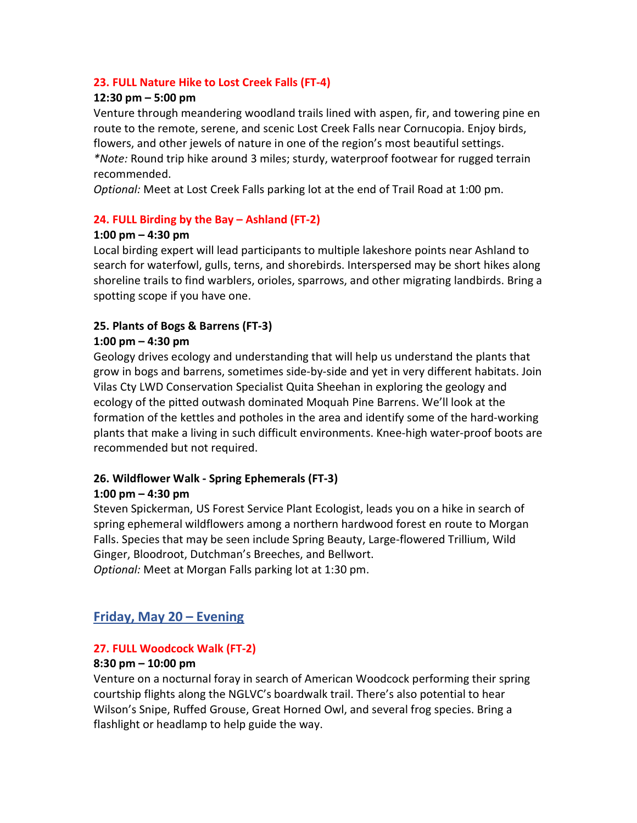#### 23. FULL Nature Hike to Lost Creek Falls (FT-4)

#### 12:30 pm – 5:00 pm

Venture through meandering woodland trails lined with aspen, fir, and towering pine en route to the remote, serene, and scenic Lost Creek Falls near Cornucopia. Enjoy birds, flowers, and other jewels of nature in one of the region's most beautiful settings. \*Note: Round trip hike around 3 miles; sturdy, waterproof footwear for rugged terrain recommended.

Optional: Meet at Lost Creek Falls parking lot at the end of Trail Road at 1:00 pm.

#### 24. FULL Birding by the Bay – Ashland (FT-2)

#### 1:00 pm – 4:30 pm

Local birding expert will lead participants to multiple lakeshore points near Ashland to search for waterfowl, gulls, terns, and shorebirds. Interspersed may be short hikes along shoreline trails to find warblers, orioles, sparrows, and other migrating landbirds. Bring a spotting scope if you have one.

#### 25. Plants of Bogs & Barrens (FT-3)

#### 1:00 pm – 4:30 pm

Geology drives ecology and understanding that will help us understand the plants that grow in bogs and barrens, sometimes side-by-side and yet in very different habitats. Join Vilas Cty LWD Conservation Specialist Quita Sheehan in exploring the geology and ecology of the pitted outwash dominated Moquah Pine Barrens. We'll look at the formation of the kettles and potholes in the area and identify some of the hard-working plants that make a living in such difficult environments. Knee-high water-proof boots are recommended but not required.

#### 26. Wildflower Walk - Spring Ephemerals (FT-3)

#### 1:00 pm – 4:30 pm

Steven Spickerman, US Forest Service Plant Ecologist, leads you on a hike in search of spring ephemeral wildflowers among a northern hardwood forest en route to Morgan Falls. Species that may be seen include Spring Beauty, Large-flowered Trillium, Wild Ginger, Bloodroot, Dutchman's Breeches, and Bellwort.

Optional: Meet at Morgan Falls parking lot at 1:30 pm.

## Friday, May 20 – Evening

#### 27. FULL Woodcock Walk (FT-2)

#### 8:30 pm – 10:00 pm

Venture on a nocturnal foray in search of American Woodcock performing their spring courtship flights along the NGLVC's boardwalk trail. There's also potential to hear Wilson's Snipe, Ruffed Grouse, Great Horned Owl, and several frog species. Bring a flashlight or headlamp to help guide the way.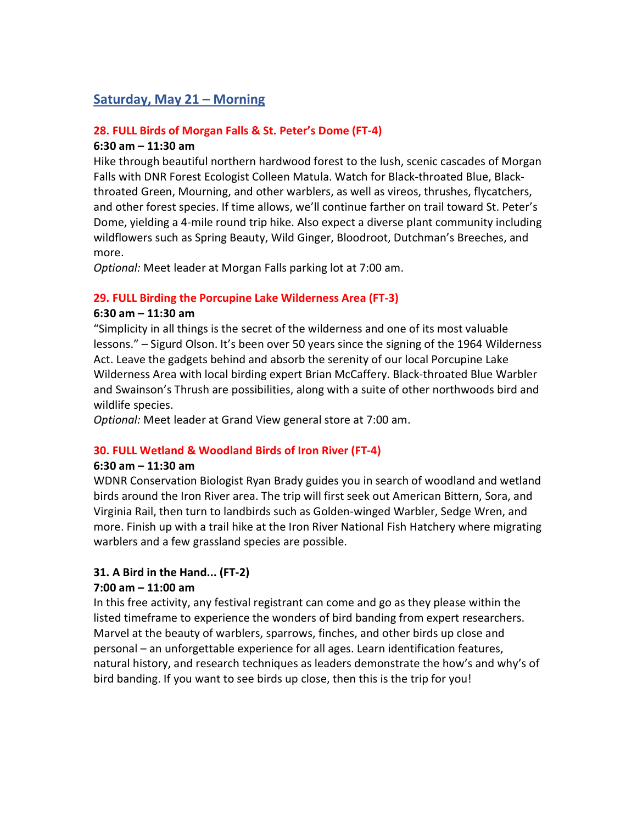## Saturday, May 21 – Morning

#### 28. FULL Birds of Morgan Falls & St. Peter's Dome (FT-4)

#### 6:30 am – 11:30 am

Hike through beautiful northern hardwood forest to the lush, scenic cascades of Morgan Falls with DNR Forest Ecologist Colleen Matula. Watch for Black-throated Blue, Blackthroated Green, Mourning, and other warblers, as well as vireos, thrushes, flycatchers, and other forest species. If time allows, we'll continue farther on trail toward St. Peter's Dome, yielding a 4-mile round trip hike. Also expect a diverse plant community including wildflowers such as Spring Beauty, Wild Ginger, Bloodroot, Dutchman's Breeches, and more.

Optional: Meet leader at Morgan Falls parking lot at 7:00 am.

#### 29. FULL Birding the Porcupine Lake Wilderness Area (FT-3)

#### 6:30 am – 11:30 am

"Simplicity in all things is the secret of the wilderness and one of its most valuable lessons." – Sigurd Olson. It's been over 50 years since the signing of the 1964 Wilderness Act. Leave the gadgets behind and absorb the serenity of our local Porcupine Lake Wilderness Area with local birding expert Brian McCaffery. Black-throated Blue Warbler and Swainson's Thrush are possibilities, along with a suite of other northwoods bird and wildlife species.

Optional: Meet leader at Grand View general store at 7:00 am.

#### 30. FULL Wetland & Woodland Birds of Iron River (FT-4)

#### 6:30 am – 11:30 am

WDNR Conservation Biologist Ryan Brady guides you in search of woodland and wetland birds around the Iron River area. The trip will first seek out American Bittern, Sora, and Virginia Rail, then turn to landbirds such as Golden-winged Warbler, Sedge Wren, and more. Finish up with a trail hike at the Iron River National Fish Hatchery where migrating warblers and a few grassland species are possible.

#### 31. A Bird in the Hand... (FT-2)

#### 7:00 am – 11:00 am

In this free activity, any festival registrant can come and go as they please within the listed timeframe to experience the wonders of bird banding from expert researchers. Marvel at the beauty of warblers, sparrows, finches, and other birds up close and personal – an unforgettable experience for all ages. Learn identification features, natural history, and research techniques as leaders demonstrate the how's and why's of bird banding. If you want to see birds up close, then this is the trip for you!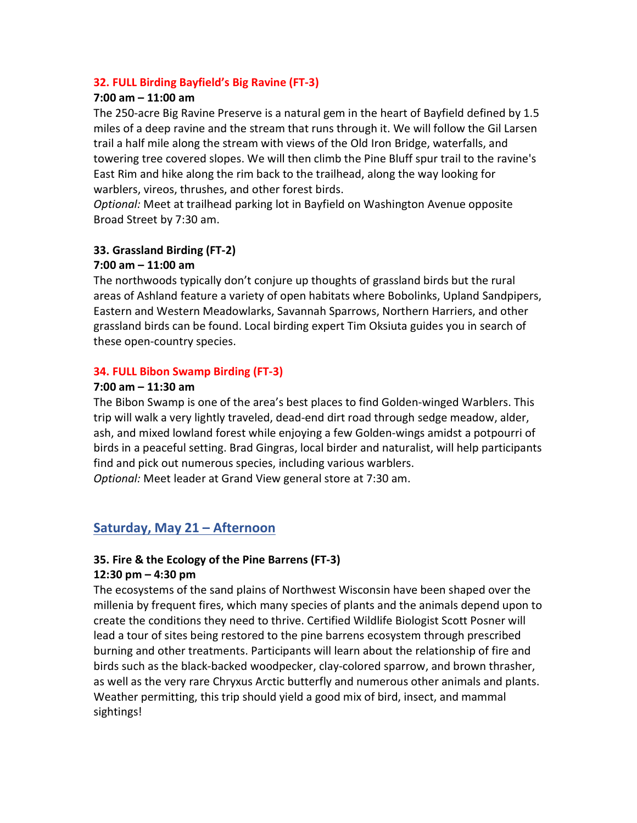#### 32. FULL Birding Bayfield's Big Ravine (FT-3)

#### 7:00 am – 11:00 am

The 250-acre Big Ravine Preserve is a natural gem in the heart of Bayfield defined by 1.5 miles of a deep ravine and the stream that runs through it. We will follow the Gil Larsen trail a half mile along the stream with views of the Old Iron Bridge, waterfalls, and towering tree covered slopes. We will then climb the Pine Bluff spur trail to the ravine's East Rim and hike along the rim back to the trailhead, along the way looking for warblers, vireos, thrushes, and other forest birds.

Optional: Meet at trailhead parking lot in Bayfield on Washington Avenue opposite Broad Street by 7:30 am.

#### 33. Grassland Birding (FT-2)

#### 7:00 am – 11:00 am

The northwoods typically don't conjure up thoughts of grassland birds but the rural areas of Ashland feature a variety of open habitats where Bobolinks, Upland Sandpipers, Eastern and Western Meadowlarks, Savannah Sparrows, Northern Harriers, and other grassland birds can be found. Local birding expert Tim Oksiuta guides you in search of these open-country species.

#### 34. FULL Bibon Swamp Birding (FT-3)

#### 7:00 am – 11:30 am

The Bibon Swamp is one of the area's best places to find Golden-winged Warblers. This trip will walk a very lightly traveled, dead-end dirt road through sedge meadow, alder, ash, and mixed lowland forest while enjoying a few Golden-wings amidst a potpourri of birds in a peaceful setting. Brad Gingras, local birder and naturalist, will help participants find and pick out numerous species, including various warblers. Optional: Meet leader at Grand View general store at 7:30 am.

#### Saturday, May 21 – Afternoon

#### 35. Fire & the Ecology of the Pine Barrens (FT-3)

#### 12:30 pm – 4:30 pm

The ecosystems of the sand plains of Northwest Wisconsin have been shaped over the millenia by frequent fires, which many species of plants and the animals depend upon to create the conditions they need to thrive. Certified Wildlife Biologist Scott Posner will lead a tour of sites being restored to the pine barrens ecosystem through prescribed burning and other treatments. Participants will learn about the relationship of fire and birds such as the black-backed woodpecker, clay-colored sparrow, and brown thrasher, as well as the very rare Chryxus Arctic butterfly and numerous other animals and plants. Weather permitting, this trip should yield a good mix of bird, insect, and mammal sightings!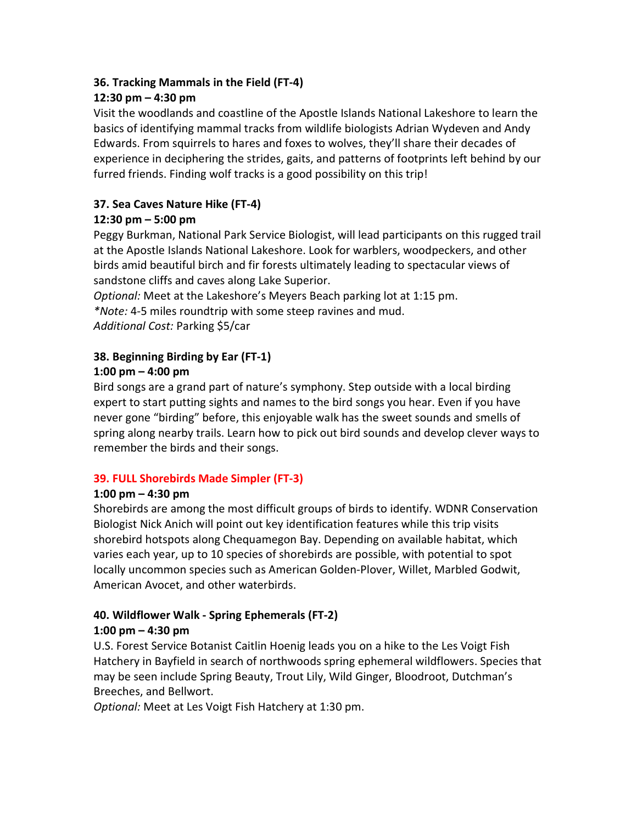#### 36. Tracking Mammals in the Field (FT-4)

#### 12:30 pm – 4:30 pm

Visit the woodlands and coastline of the Apostle Islands National Lakeshore to learn the basics of identifying mammal tracks from wildlife biologists Adrian Wydeven and Andy Edwards. From squirrels to hares and foxes to wolves, they'll share their decades of experience in deciphering the strides, gaits, and patterns of footprints left behind by our furred friends. Finding wolf tracks is a good possibility on this trip!

## 37. Sea Caves Nature Hike (FT-4)

#### 12:30 pm – 5:00 pm

Peggy Burkman, National Park Service Biologist, will lead participants on this rugged trail at the Apostle Islands National Lakeshore. Look for warblers, woodpeckers, and other birds amid beautiful birch and fir forests ultimately leading to spectacular views of sandstone cliffs and caves along Lake Superior.

Optional: Meet at the Lakeshore's Meyers Beach parking lot at 1:15 pm. \*Note: 4-5 miles roundtrip with some steep ravines and mud.

Additional Cost: Parking \$5/car

## 38. Beginning Birding by Ear (FT-1)

#### 1:00 pm – 4:00 pm

Bird songs are a grand part of nature's symphony. Step outside with a local birding expert to start putting sights and names to the bird songs you hear. Even if you have never gone "birding" before, this enjoyable walk has the sweet sounds and smells of spring along nearby trails. Learn how to pick out bird sounds and develop clever ways to remember the birds and their songs.

#### 39. FULL Shorebirds Made Simpler (FT-3)

#### 1:00 pm – 4:30 pm

Shorebirds are among the most difficult groups of birds to identify. WDNR Conservation Biologist Nick Anich will point out key identification features while this trip visits shorebird hotspots along Chequamegon Bay. Depending on available habitat, which varies each year, up to 10 species of shorebirds are possible, with potential to spot locally uncommon species such as American Golden-Plover, Willet, Marbled Godwit, American Avocet, and other waterbirds.

#### 40. Wildflower Walk - Spring Ephemerals (FT-2) 1:00 pm – 4:30 pm

U.S. Forest Service Botanist Caitlin Hoenig leads you on a hike to the Les Voigt Fish Hatchery in Bayfield in search of northwoods spring ephemeral wildflowers. Species that may be seen include Spring Beauty, Trout Lily, Wild Ginger, Bloodroot, Dutchman's Breeches, and Bellwort.

Optional: Meet at Les Voigt Fish Hatchery at 1:30 pm.